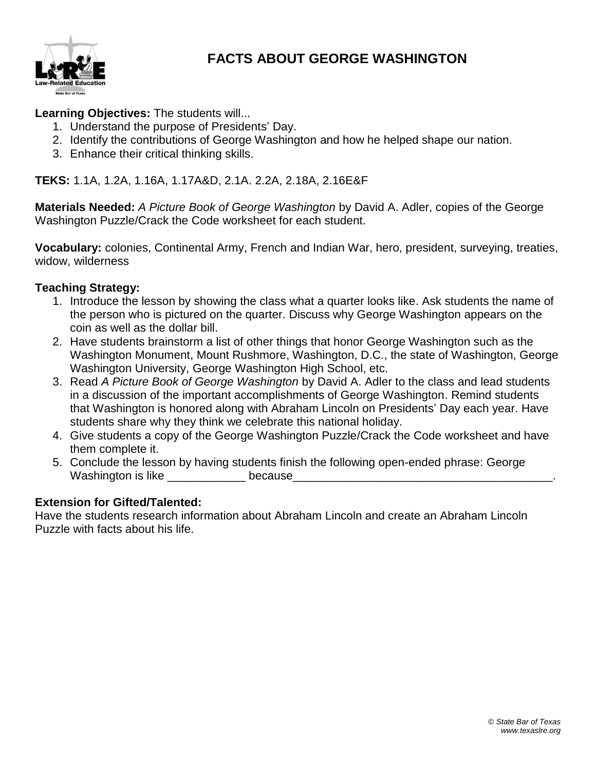

### **FACTS ABOUT GEORGE WASHINGTON**

**Learning Objectives:** The students will...

- 1. Understand the purpose of Presidents' Day.
- 2. Identify the contributions of George Washington and how he helped shape our nation.
- 3. Enhance their critical thinking skills.

**TEKS:** 1.1A, 1.2A, 1.16A, 1.17A&D, 2.1A. 2.2A, 2.18A, 2.16E&F

**Materials Needed:** *A Picture Book of George Washington* by David A. Adler, copies of the George Washington Puzzle/Crack the Code worksheet for each student.

**Vocabulary:** colonies, Continental Army, French and Indian War, hero, president, surveying, treaties, widow, wilderness

#### **Teaching Strategy:**

- 1. Introduce the lesson by showing the class what a quarter looks like. Ask students the name of the person who is pictured on the quarter. Discuss why George Washington appears on the coin as well as the dollar bill.
- 2. Have students brainstorm a list of other things that honor George Washington such as the Washington Monument, Mount Rushmore, Washington, D.C., the state of Washington, George Washington University, George Washington High School, etc.
- 3. Read *A Picture Book of George Washington* by David A. Adler to the class and lead students in a discussion of the important accomplishments of George Washington. Remind students that Washington is honored along with Abraham Lincoln on Presidents' Day each year. Have students share why they think we celebrate this national holiday.
- 4. Give students a copy of the George Washington Puzzle/Crack the Code worksheet and have them complete it.
- 5. Conclude the lesson by having students finish the following open-ended phrase: George Washington is like example because

#### **Extension for Gifted/Talented:**

Have the students research information about Abraham Lincoln and create an Abraham Lincoln Puzzle with facts about his life.